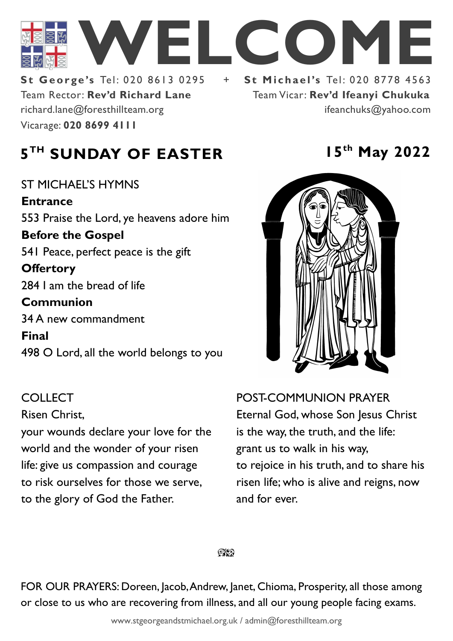

Team Rector: **Rev'd Richard Lane**  Vicarage: **020 8699 4111**  richard.lane@foresthillteam.org ifeanchuks@yahoo.com

**St George's Tel: 020 8613 0295 + St Michael's Tel: 020 8778 4563** Team Vicar: **Rev'd Ifeanyi Chukuka**

# **5 TH SUNDAY OF EASTER 15th May 2022**

ST MICHAEL'S HYMNS **Entrance** 553 Praise the Lord, ye heavens adore him **Before the Gospel**  541 Peace, perfect peace is the gift **Offertory**  284 I am the bread of life **Communion**  34 A new commandment **Final**  498 O Lord, all the world belongs to you

# COLLECT

#### Risen Christ,

your wounds declare your love for the world and the wonder of your risen life: give us compassion and courage to risk ourselves for those we serve, to the glory of God the Father.



POST-COMMUNION PRAYER Eternal God, whose Son Jesus Christ is the way, the truth, and the life: grant us to walk in his way, to rejoice in his truth, and to share his risen life; who is alive and reigns, now and for ever.

 $Q\mathbf{X}^{\prime}$ 

FOR OUR PRAYERS: Doreen, Jacob, Andrew, Janet, Chioma, Prosperity, all those among or close to us who are recovering from illness, and all our young people facing exams.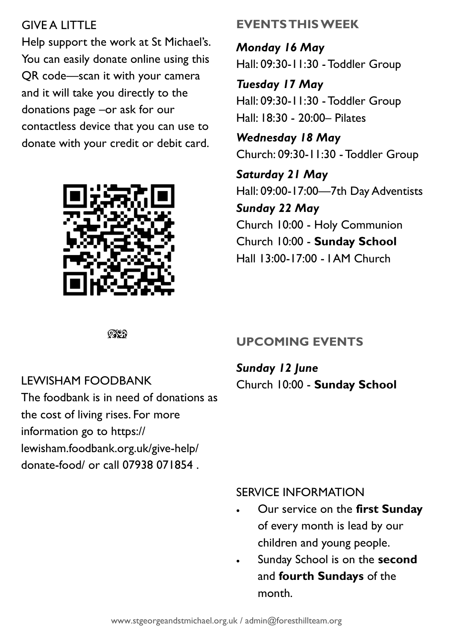# **GIVE A LITTLE**

Help support the work at St Michael's. You can easily donate online using this QR code—scan it with your camera and it will take you directly to the donations page –or ask for our contactless device that you can use to donate with your credit or debit card.



## **EVENTS THIS WEEK**

*Monday 16 May* Hall: 09:30-11:30 -Toddler Group

*Tuesday 17 May* Hall: 09:30-11:30 -Toddler Group Hall: 18:30 - 20:00– Pilates

*Wednesday 18 May* Church: 09:30-11:30 -Toddler Group

*Saturday 21 May* Hall: 09:00-17:00—7th Day Adventists *Sunday 22 May* Church 10:00 - Holy Communion Church 10:00 - **Sunday School** Hall 13:00-17:00 - I AM Church

೧೪೧

### LEWISHAM FOODBANK

The foodbank is in need of donations as the cost of living rises. For more information go to https:// lewisham.foodbank.org.uk/give-help/ donate-food/ or call 07938 071854 .

### **UPCOMING EVENTS**

*Sunday 12 June* Church 10:00 - **Sunday School**

#### SERVICE INFORMATION

- Our service on the **first Sunday** of every month is lead by our children and young people.
- Sunday School is on the **second**  and **fourth Sundays** of the month.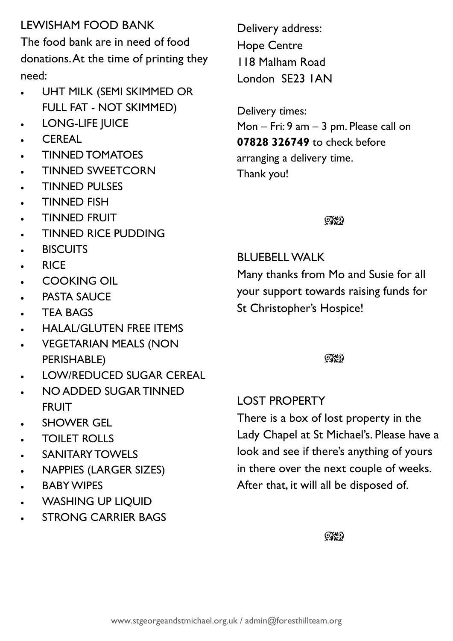# LEWISHAM FOOD BANK

The food bank are in need of food donations. At the time of printing they need:

- UHT MILK (SEMI SKIMMED OR FULL FAT - NOT SKIMMED)
- LONG-LIFE JUICE
- CEREAL
- TINNED TOMATOES
- TINNED SWEETCORN
- TINNED PULSES
- TINNED FISH
- TINNED FRUIT
- TINNED RICE PUDDING
- **BISCUITS**
- RICE
- COOKING OIL
- PASTA SAUCE
- **TEA BAGS**
- HALAL/GLUTEN FREE ITEMS
- VEGETARIAN MEALS (NON PERISHABLE)
- LOW/REDUCED SUGAR CEREAL
- NO ADDED SUGAR TINNED FRUIT
- SHOWER GEL
- TOILET ROLLS
- SANITARY TOWELS
- NAPPIES (LARGER SIZES)
- **BABY WIPES**
- WASHING UP LIQUID
- STRONG CARRIER BAGS

Delivery address: Hope Centre 118 Malham Road London SE23 1AN

Delivery times: Mon – Fri: 9 am – 3 pm. Please call on **07828 326749** to check before arranging a delivery time. Thank you!

# $\mathbb{C}\mathbb{C}$

BLUEBELL WALK

Many thanks from Mo and Susie for all your support towards raising funds for St Christopher's Hospice!

### ೧೪೧

LOST PROPERTY

There is a box of lost property in the Lady Chapel at St Michael's. Please have a look and see if there's anything of yours in there over the next couple of weeks. After that, it will all be disposed of.

#### $\mathbb{C}\mathbb{C}$